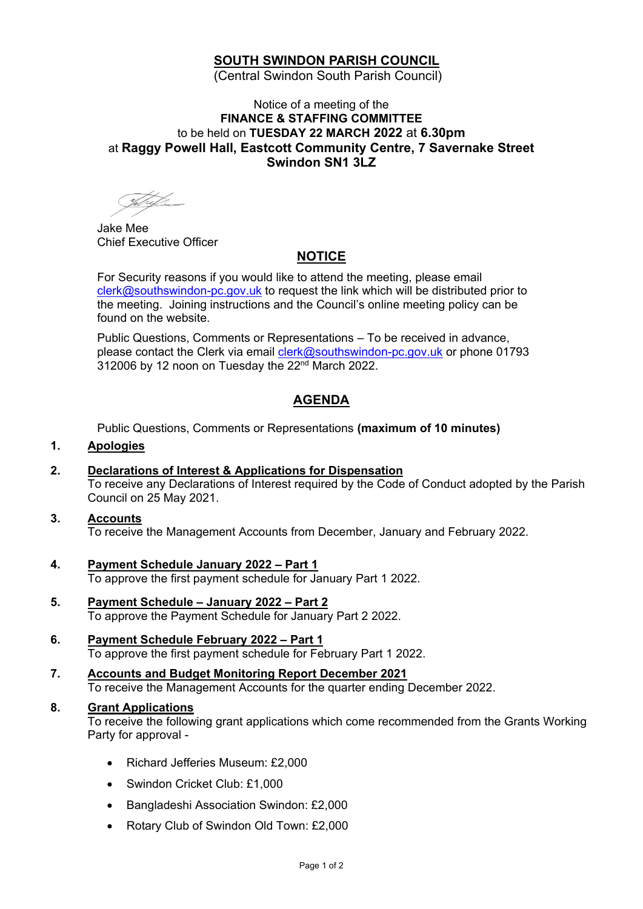# **SOUTH SWINDON PARISH COUNCIL**

(Central Swindon South Parish Council)

## Notice of a meeting of the **FINANCE & STAFFING COMMITTEE** to be held on **TUESDAY 22 MARCH 2022** at **6.30pm** at **Raggy Powell Hall, Eastcott Community Centre, 7 Savernake Street Swindon SN1 3LZ**

Jake Mee Chief Executive Officer

# **NOTICE**

For Security reasons if you would like to attend the meeting, please email [clerk@southswindon-pc.gov.uk](mailto:clerk@southswindon-pc.gov.uk) to request the link which will be distributed prior to the meeting. Joining instructions and the Council's online meeting policy can be found on the website.

Public Questions, Comments or Representations – To be received in advance, please contact the Clerk via email [clerk@southswindon-pc.gov.uk](mailto:clerk@southswindon-pc.gov.uk) or phone 01793 312006 by 12 noon on Tuesday the 22<sup>nd</sup> March 2022.

# **AGENDA**

Public Questions, Comments or Representations **(maximum of 10 minutes)**

#### **1. Apologies**

**2. Declarations of Interest & Applications for Dispensation** To receive any Declarations of Interest required by the Code of Conduct adopted by the Parish Council on 25 May 2021.

#### **3. Accounts** To receive the Management Accounts from December, January and February 2022.

- **4. Payment Schedule January 2022 – Part 1** To approve the first payment schedule for January Part 1 2022.
- **5. Payment Schedule – January 2022 – Part 2** To approve the Payment Schedule for January Part 2 2022.
- **6. Payment Schedule February 2022 – Part 1** To approve the first payment schedule for February Part 1 2022.
- **7. Accounts and Budget Monitoring Report December 2021** To receive the Management Accounts for the quarter ending December 2022.

## **8. Grant Applications**

To receive the following grant applications which come recommended from the Grants Working Party for approval -

- Richard Jefferies Museum: £2,000
- Swindon Cricket Club: £1,000
- Bangladeshi Association Swindon: £2,000
- Rotary Club of Swindon Old Town: £2,000